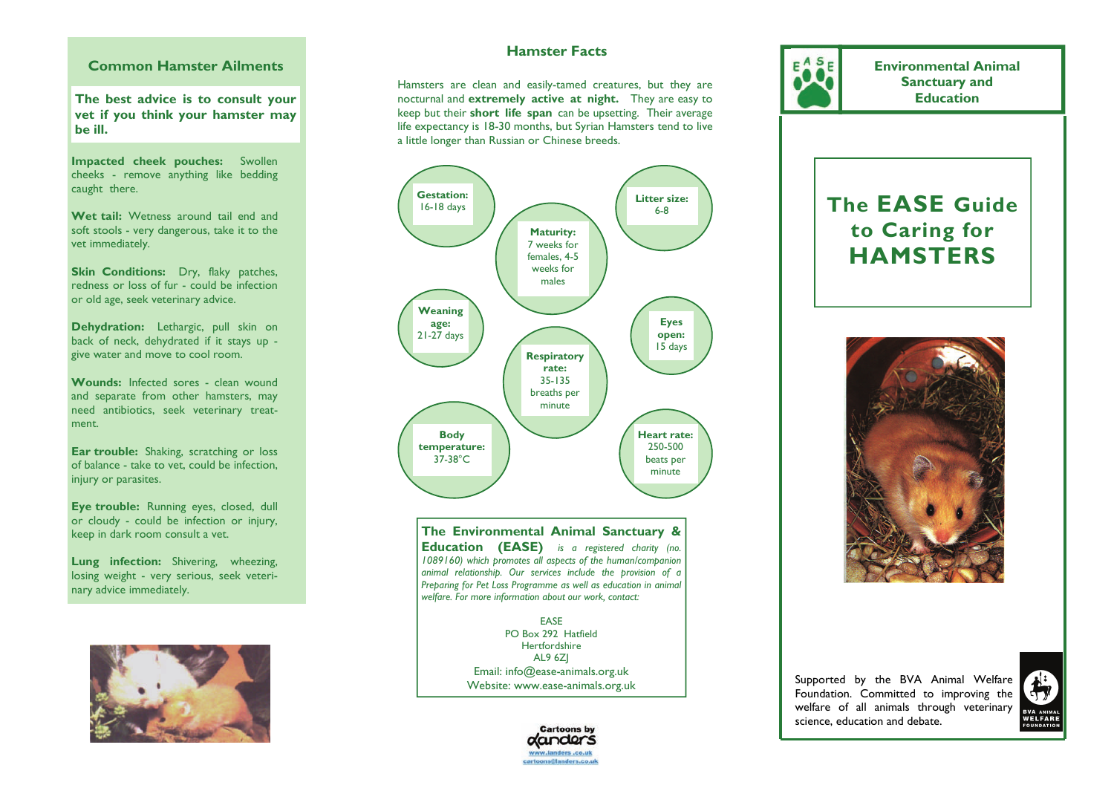## **Common Hamster Ailments**

**The best advice is to consult your vet if you think your hamster may be ill.** 

**Impacted cheek pouches:** Swollen cheeks - remove anything like bedding caught there.

**Wet tail:** Wetness around tail end and soft stools - very dangerous, take it to the vet immediately.

**Skin Conditions:** Dry, flaky patches, redness or loss of fur - could be infection or old age, seek veterinary advice.

**Dehydration:** Lethargic, pull skin on back of neck, dehydrated if it stays up give water and move to cool room.

**Wounds:** Infected sores - clean wound and separate from other hamsters, may need antibiotics, seek veterinary treatment.

**Ear trouble:** Shaking, scratching or loss of balance - take to vet, could be infection, injury or parasites.

**Eye trouble:** Running eyes, closed, dull or cloudy - could be infection or injury, keep in dark room consult a vet.

**Lung infection:** Shivering, wheezing, losing weight - very serious, seek veterinary advice immediately.



## **Hamster Facts**

Hamsters are clean and easily-tamed creatures, but they are nocturnal and **extremely active at night.** They are easy to keep but their **short life span** can be upsetting. Their average life expectancy is 18-30 months, but Syrian Hamsters tend to live a little longer than Russian or Chinese breeds.



**The Environmental Animal Sanctuary & Education (EASE)** *is a registered charity (no. 1089160) which promotes all aspects of the human/companion animal relationship. Our services include the provision of a Preparing for Pet Loss Programme as well as education in animal welfare. For more information about our work, contact:* 

> EASE PO Box 292 Hatfield Hertfordshire AL9 6ZJ Email: info@ease-animals.org.uk Website: www.ease-animals.org.uk





**Environmental Animal Sanctuary and Education** 

# **The EASE Guide to Caring for HAMSTERS**



Supported by the BVA Animal Welfare Foundation. Committed to improving the welfare of all animals through veterinary science, education and debate.